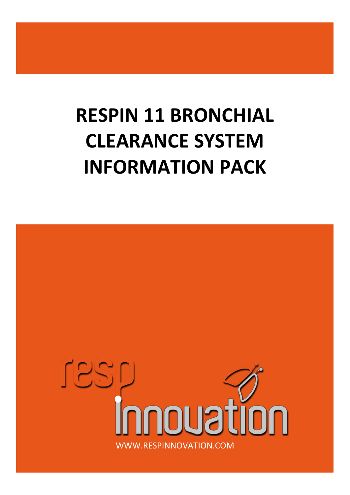# **RESPIN 11 BRONCHIAL CLEARANCE SYSTEM INFORMATION PACK**

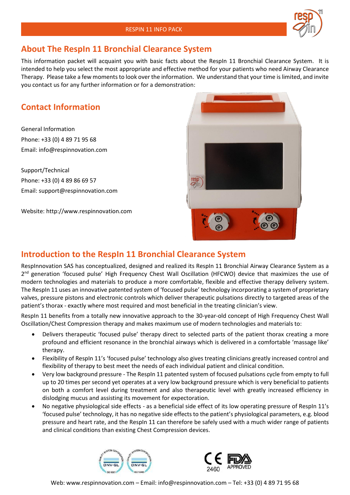### **About The RespIn 11 Bronchial Clearance System**

This information packet will acquaint you with basic facts about the RespIn 11 Bronchial Clearance System. It is intended to help you select the most appropriate and effective method for your patients who need Airway Clearance Therapy. Please take a few moments to look over the information. We understand that your time is limited, and invite you contact us for any further information or for a demonstration:

# **Contact Information**

General Information Phone: +33 (0) 4 89 71 95 68 Email: info@respinnovation.com

Support/Technical Phone: +33 (0) 4 89 86 69 57 Email: support@respinnovation.com

Website: http://www.respinnovation.com



### **Introduction to the RespIn 11 Bronchial Clearance System**

RespInnovation SAS has conceptualized, designed and realized its RespIn 11 Bronchial Airway Clearance System as a 2<sup>nd</sup> generation 'focused pulse' High Frequency Chest Wall Oscillation (HFCWO) device that maximizes the use of modern technologies and materials to produce a more comfortable, flexible and effective therapy delivery system. The RespIn 11 uses an innovative patented system of 'focused pulse' technology incorporating a system of proprietary valves, pressure pistons and electronic controls which deliver therapeutic pulsations directly to targeted areas of the patient's thorax - exactly where most required and most beneficial in the treating clinician's view.

RespIn 11 benefits from a totally new innovative approach to the 30-year-old concept of High Frequency Chest Wall Oscillation/Chest Compression therapy and makes maximum use of modern technologies and materials to:

- Delivers therapeutic 'focused pulse' therapy direct to selected parts of the patient thorax creating a more profound and efficient resonance in the bronchial airways which is delivered in a comfortable 'massage like' therapy.
- Flexibility of RespIn 11's 'focused pulse' technology also gives treating clinicians greatly increased control and flexibility of therapy to best meet the needs of each individual patient and clinical condition.
- Very low background pressure The RespIn 11 patented system of focused pulsations cycle from empty to full up to 20 times per second yet operates at a very low background pressure which is very beneficial to patients on both a comfort level during treatment and also therapeutic level with greatly increased efficiency in dislodging mucus and assisting its movement for expectoration.
- No negative physiological side effects as a beneficial side effect of its low operating pressure of RespIn 11's 'focused pulse' technology, it has no negative side effects to the patient's physiological parameters, e.g. blood pressure and heart rate, and the RespIn 11 can therefore be safely used with a much wider range of patients and clinical conditions than existing Chest Compression devices.



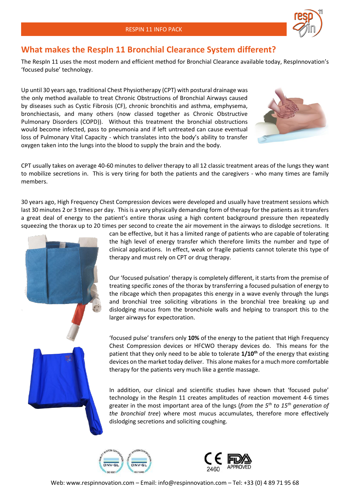

#### **What makes the RespIn 11 Bronchial Clearance System different?**

The RespIn 11 uses the most modern and efficient method for Bronchial Clearance available today, RespInnovation's 'focused pulse' technology.

Up until 30 years ago, traditional Chest Physiotherapy (CPT) with postural drainage was the only method available to treat Chronic Obstructions of Bronchial Airways caused by diseases such as Cystic Fibrosis (CF), chronic bronchitis and asthma, emphysema, bronchiectasis, and many others (now classed together as Chronic Obstructive Pulmonary Disorders (COPD)). Without this treatment the bronchial obstructions would become infected, pass to pneumonia and if left untreated can cause eventual loss of Pulmonary Vital Capacity - which translates into the body's ability to transfer oxygen taken into the lungs into the blood to supply the brain and the body.



CPT usually takes on average 40-60 minutes to deliver therapy to all 12 classic treatment areas of the lungs they want to mobilize secretions in. This is very tiring for both the patients and the caregivers - who many times are family members.

30 years ago, High Frequency Chest Compression devices were developed and usually have treatment sessions which last 30 minutes 2 or 3 times per day. This is a very physically demanding form of therapy for the patients as it transfers a great deal of energy to the patient's entire thorax using a high content background pressure then repeatedly squeezing the thorax up to 20 times per second to create the air movement in the airways to dislodge secretions. It



can be effective, but it has a limited range of patients who are capable of tolerating the high level of energy transfer which therefore limits the number and type of clinical applications. In effect, weak or fragile patients cannot tolerate this type of therapy and must rely on CPT or drug therapy.

Our 'focused pulsation' therapy is completely different, it starts from the premise of treating specific zones of the thorax by transferring a focused pulsation of energy to the ribcage which then propagates this energy in a wave evenly through the lungs and bronchial tree soliciting vibrations in the bronchial tree breaking up and dislodging mucus from the bronchiole walls and helping to transport this to the larger airways for expectoration.

'focused pulse' transfers only **10%** of the energy to the patient that High Frequency Chest Compression devices or HFCWO therapy devices do. This means for the patient that they only need to be able to tolerate **1/10th** of the energy that existing devices on the market today deliver. This alone makes for a much more comfortable therapy for the patients very much like a gentle massage.

In addition, our clinical and scientific studies have shown that 'focused pulse' technology in the RespIn 11 creates amplitudes of reaction movement 4-6 times greater in the most important area of the lungs (*from the 5th to 15th generation of the bronchial tree*) where most mucus accumulates, therefore more effectively dislodging secretions and soliciting coughing.